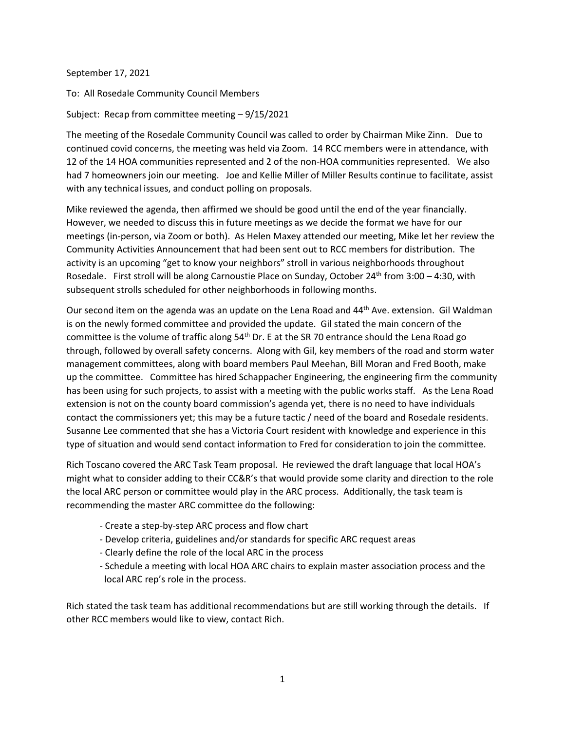September 17, 2021

To: All Rosedale Community Council Members

Subject: Recap from committee meeting – 9/15/2021

The meeting of the Rosedale Community Council was called to order by Chairman Mike Zinn. Due to continued covid concerns, the meeting was held via Zoom. 14 RCC members were in attendance, with 12 of the 14 HOA communities represented and 2 of the non-HOA communities represented. We also had 7 homeowners join our meeting. Joe and Kellie Miller of Miller Results continue to facilitate, assist with any technical issues, and conduct polling on proposals.

Mike reviewed the agenda, then affirmed we should be good until the end of the year financially. However, we needed to discuss this in future meetings as we decide the format we have for our meetings (in-person, via Zoom or both). As Helen Maxey attended our meeting, Mike let her review the Community Activities Announcement that had been sent out to RCC members for distribution. The activity is an upcoming "get to know your neighbors" stroll in various neighborhoods throughout Rosedale. First stroll will be along Carnoustie Place on Sunday, October 24th from 3:00 – 4:30, with subsequent strolls scheduled for other neighborhoods in following months.

Our second item on the agenda was an update on the Lena Road and 44<sup>th</sup> Ave. extension. Gil Waldman is on the newly formed committee and provided the update. Gil stated the main concern of the committee is the volume of traffic along  $54<sup>th</sup>$  Dr. E at the SR 70 entrance should the Lena Road go through, followed by overall safety concerns. Along with Gil, key members of the road and storm water management committees, along with board members Paul Meehan, Bill Moran and Fred Booth, make up the committee. Committee has hired Schappacher Engineering, the engineering firm the community has been using for such projects, to assist with a meeting with the public works staff. As the Lena Road extension is not on the county board commission's agenda yet, there is no need to have individuals contact the commissioners yet; this may be a future tactic / need of the board and Rosedale residents. Susanne Lee commented that she has a Victoria Court resident with knowledge and experience in this type of situation and would send contact information to Fred for consideration to join the committee.

Rich Toscano covered the ARC Task Team proposal. He reviewed the draft language that local HOA's might what to consider adding to their CC&R's that would provide some clarity and direction to the role the local ARC person or committee would play in the ARC process. Additionally, the task team is recommending the master ARC committee do the following:

- Create a step-by-step ARC process and flow chart
- Develop criteria, guidelines and/or standards for specific ARC request areas
- Clearly define the role of the local ARC in the process
- Schedule a meeting with local HOA ARC chairs to explain master association process and the local ARC rep's role in the process.

Rich stated the task team has additional recommendations but are still working through the details. If other RCC members would like to view, contact Rich.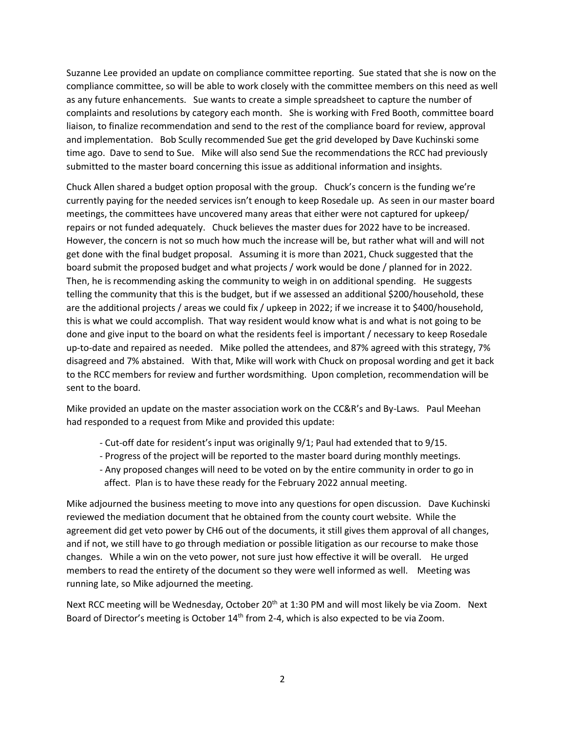Suzanne Lee provided an update on compliance committee reporting. Sue stated that she is now on the compliance committee, so will be able to work closely with the committee members on this need as well as any future enhancements. Sue wants to create a simple spreadsheet to capture the number of complaints and resolutions by category each month. She is working with Fred Booth, committee board liaison, to finalize recommendation and send to the rest of the compliance board for review, approval and implementation. Bob Scully recommended Sue get the grid developed by Dave Kuchinski some time ago. Dave to send to Sue. Mike will also send Sue the recommendations the RCC had previously submitted to the master board concerning this issue as additional information and insights.

Chuck Allen shared a budget option proposal with the group. Chuck's concern is the funding we're currently paying for the needed services isn't enough to keep Rosedale up. As seen in our master board meetings, the committees have uncovered many areas that either were not captured for upkeep/ repairs or not funded adequately. Chuck believes the master dues for 2022 have to be increased. However, the concern is not so much how much the increase will be, but rather what will and will not get done with the final budget proposal. Assuming it is more than 2021, Chuck suggested that the board submit the proposed budget and what projects / work would be done / planned for in 2022. Then, he is recommending asking the community to weigh in on additional spending. He suggests telling the community that this is the budget, but if we assessed an additional \$200/household, these are the additional projects / areas we could fix / upkeep in 2022; if we increase it to \$400/household, this is what we could accomplish. That way resident would know what is and what is not going to be done and give input to the board on what the residents feel is important / necessary to keep Rosedale up-to-date and repaired as needed. Mike polled the attendees, and 87% agreed with this strategy, 7% disagreed and 7% abstained. With that, Mike will work with Chuck on proposal wording and get it back to the RCC members for review and further wordsmithing. Upon completion, recommendation will be sent to the board.

Mike provided an update on the master association work on the CC&R's and By-Laws. Paul Meehan had responded to a request from Mike and provided this update:

- Cut-off date for resident's input was originally 9/1; Paul had extended that to 9/15.
- Progress of the project will be reported to the master board during monthly meetings.
- Any proposed changes will need to be voted on by the entire community in order to go in affect. Plan is to have these ready for the February 2022 annual meeting.

Mike adjourned the business meeting to move into any questions for open discussion. Dave Kuchinski reviewed the mediation document that he obtained from the county court website. While the agreement did get veto power by CH6 out of the documents, it still gives them approval of all changes, and if not, we still have to go through mediation or possible litigation as our recourse to make those changes. While a win on the veto power, not sure just how effective it will be overall. He urged members to read the entirety of the document so they were well informed as well. Meeting was running late, so Mike adjourned the meeting.

Next RCC meeting will be Wednesday, October 20<sup>th</sup> at 1:30 PM and will most likely be via Zoom. Next Board of Director's meeting is October 14<sup>th</sup> from 2-4, which is also expected to be via Zoom.